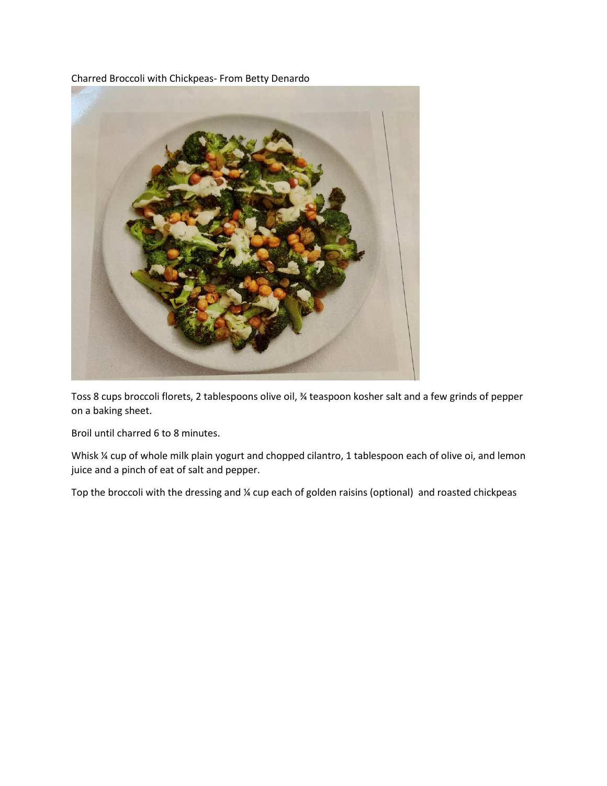Charred Broccoli with Chickpeas- From Betty Denardo



Toss 8 cups broccoli florets, 2 tablespoons olive oil, ¾ teaspoon kosher salt and a few grinds of pepper on a baking sheet.

Broil until charred 6 to 8 minutes.

Whisk % cup of whole milk plain yogurt and chopped cilantro, 1 tablespoon each of olive oi, and lemon juice and a pinch of eat of salt and pepper.

Top the broccoli with the dressing and ¼ cup each of golden raisins (optional) and roasted chickpeas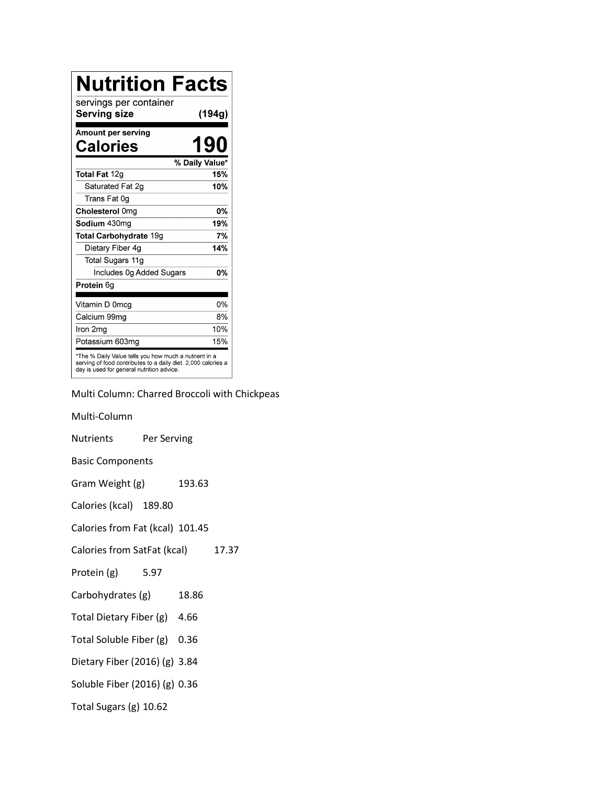| <b>Nutrition Facts</b>                                                                                                                                              |                |
|---------------------------------------------------------------------------------------------------------------------------------------------------------------------|----------------|
| servings per container<br>Serving size                                                                                                                              | (194g)         |
| Amount per serving<br>Calories                                                                                                                                      | 190            |
|                                                                                                                                                                     | % Daily Value* |
| Total Fat 12g                                                                                                                                                       | 15%            |
| Saturated Fat 2g                                                                                                                                                    | 10%            |
| Trans Fat 0g                                                                                                                                                        |                |
| Cholesterol 0mg                                                                                                                                                     | <b>0%</b>      |
| Sodium 430mg                                                                                                                                                        | 19%            |
| <b>Total Carbohydrate 19g</b>                                                                                                                                       | 7%             |
| Dietary Fiber 4g                                                                                                                                                    | 14%            |
| Total Sugars 11g                                                                                                                                                    |                |
| Includes 0g Added Sugars                                                                                                                                            | 0%             |
| Protein 6q                                                                                                                                                          |                |
| Vitamin D 0mcg                                                                                                                                                      | 0%             |
| Calcium 99mg                                                                                                                                                        | 8%             |
| Iron 2mg                                                                                                                                                            | 10%            |
| Potassium 603mg                                                                                                                                                     | 15%            |
| *The % Daily Value tells you how much a nutrient in a<br>serving of food contributes to a daily diet. 2,000 calories a<br>day is used for general nutrition advice. |                |

Multi Column: Charred Broccoli with Chickpeas

Multi-Column Nutrients Per Serving Basic Components Gram Weight (g) 193.63 Calories (kcal) 189.80 Calories from Fat (kcal) 101.45 Calories from SatFat (kcal) 17.37 Protein (g) 5.97 Carbohydrates (g) 18.86 Total Dietary Fiber (g) 4.66 Total Soluble Fiber (g) 0.36 Dietary Fiber (2016) (g) 3.84 Soluble Fiber (2016) (g) 0.36 Total Sugars (g) 10.62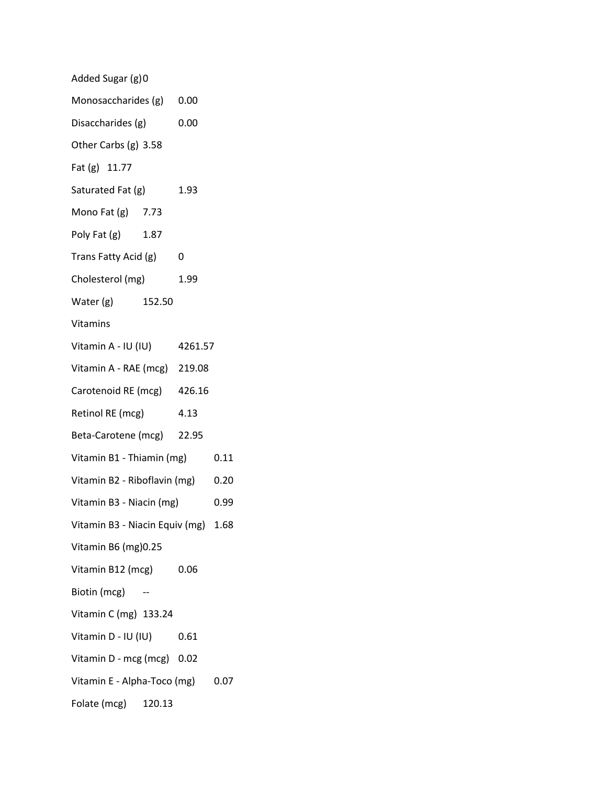| Added Sugar (g)0                    |      |      |      |
|-------------------------------------|------|------|------|
| Monosaccharides (g) 0.00            |      |      |      |
| Disaccharides (g)                   | 0.00 |      |      |
| Other Carbs (g) 3.58                |      |      |      |
| Fat (g) 11.77                       |      |      |      |
| Saturated Fat (g)                   |      | 1.93 |      |
| Mono Fat (g) 7.73                   |      |      |      |
| Poly Fat (g) 1.87                   |      |      |      |
| Trans Fatty Acid (g) 0              |      |      |      |
| Cholesterol (mg)                    |      | 1.99 |      |
| Water (g) 152.50                    |      |      |      |
| Vitamins                            |      |      |      |
| Vitamin A - IU (IU) 4261.57         |      |      |      |
| Vitamin A - RAE (mcg) 219.08        |      |      |      |
| Carotenoid RE (mcg) 426.16          |      |      |      |
| Retinol RE (mcg) 4.13               |      |      |      |
| Beta-Carotene (mcg) 22.95           |      |      |      |
| Vitamin B1 - Thiamin (mg)           |      |      | 0.11 |
| Vitamin B2 - Riboflavin (mg)        |      | 0.20 |      |
| Vitamin B3 - Niacin (mg)            |      |      | 0.99 |
| Vitamin B3 - Niacin Equiv (mg) 1.68 |      |      |      |
| Vitamin B6 (mg) 0.25                |      |      |      |
| Vitamin B12 (mcg) 0.06              |      |      |      |
| Biotin (mcg) --                     |      |      |      |
| Vitamin C (mg) 133.24               |      |      |      |
| Vitamin D - IU (IU) 0.61            |      |      |      |
| Vitamin D - mcg (mcg) 0.02          |      |      |      |
| Vitamin E - Alpha-Toco (mg) 0.07    |      |      |      |
| Folate (mcg) 120.13                 |      |      |      |